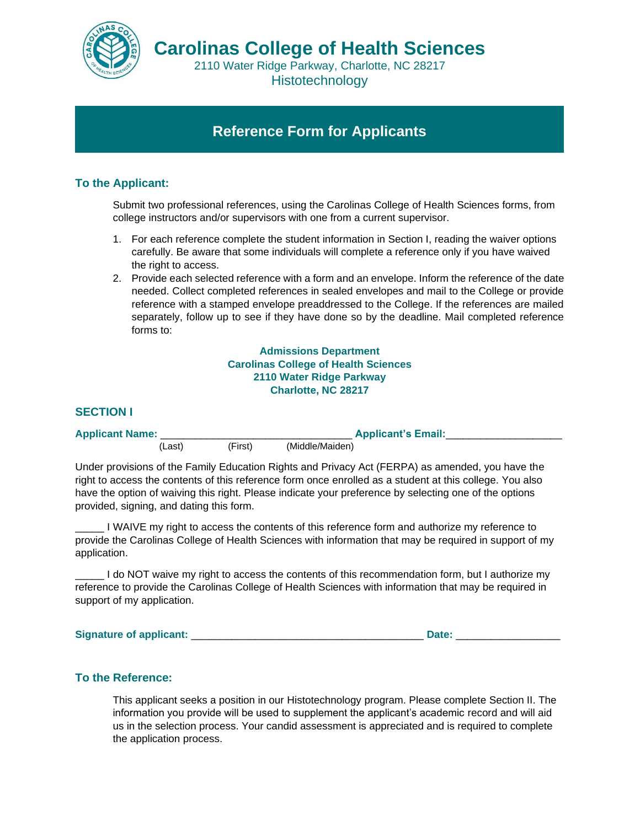

2110 Water Ridge Parkway, Charlotte, NC 28217 **Histotechnology** 

# **Reference Form for Applicants**

## **To the Applicant:**

Submit two professional references, using the Carolinas College of Health Sciences forms, from college instructors and/or supervisors with one from a current supervisor.

- 1. For each reference complete the student information in Section I, reading the waiver options carefully. Be aware that some individuals will complete a reference only if you have waived the right to access.
- 2. Provide each selected reference with a form and an envelope. Inform the reference of the date needed. Collect completed references in sealed envelopes and mail to the College or provide reference with a stamped envelope preaddressed to the College. If the references are mailed separately, follow up to see if they have done so by the deadline. Mail completed reference forms to:

**Admissions Department Carolinas College of Health Sciences 2110 Water Ridge Parkway Charlotte, NC 28217**

#### **SECTION I**

| <b>Applicant Name:</b> |         |         | <b>Applicant's Email:</b> |  |
|------------------------|---------|---------|---------------------------|--|
|                        | ,Last). | (First) | (Middle/Maiden)           |  |

Under provisions of the Family Education Rights and Privacy Act (FERPA) as amended, you have the right to access the contents of this reference form once enrolled as a student at this college. You also have the option of waiving this right. Please indicate your preference by selecting one of the options provided, signing, and dating this form.

\_\_\_\_\_ I WAIVE my right to access the contents of this reference form and authorize my reference to provide the Carolinas College of Health Sciences with information that may be required in support of my application.

\_\_\_\_\_ I do NOT waive my right to access the contents of this recommendation form, but I authorize my reference to provide the Carolinas College of Health Sciences with information that may be required in support of my application.

**Signature of applicant:** \_\_\_\_\_\_\_\_\_\_\_\_\_\_\_\_\_\_\_\_\_\_\_\_\_\_\_\_\_\_\_\_\_\_\_\_\_\_\_\_ **Date:** \_\_\_\_\_\_\_\_\_\_\_\_\_\_\_\_\_\_

#### **To the Reference:**

This applicant seeks a position in our Histotechnology program. Please complete Section II. The information you provide will be used to supplement the applicant's academic record and will aid us in the selection process. Your candid assessment is appreciated and is required to complete the application process.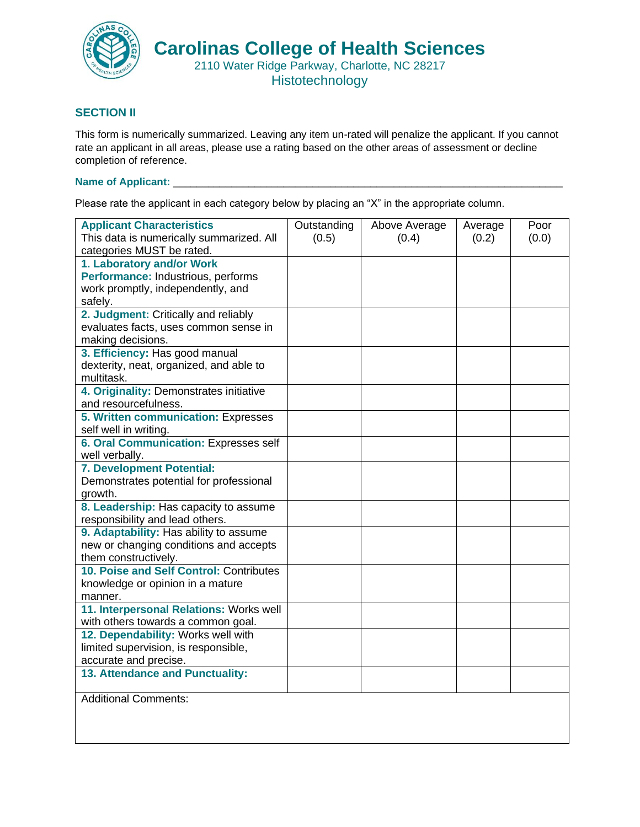

### **SECTION II**

This form is numerically summarized. Leaving any item un-rated will penalize the applicant. If you cannot rate an applicant in all areas, please use a rating based on the other areas of assessment or decline completion of reference.

## **Name of Applicant:** \_\_\_\_\_\_\_\_\_\_\_\_\_\_\_\_\_\_\_\_\_\_\_\_\_\_\_\_\_\_\_\_\_\_\_\_\_\_\_\_\_\_\_\_\_\_\_\_\_\_\_\_\_\_\_\_\_\_\_\_\_\_\_\_\_\_\_

Please rate the applicant in each category below by placing an "X" in the appropriate column.

| <b>Applicant Characteristics</b><br>This data is numerically summarized. All | Outstanding<br>(0.5) | Above Average<br>(0.4) | Average<br>(0.2) | Poor<br>(0.0) |
|------------------------------------------------------------------------------|----------------------|------------------------|------------------|---------------|
| categories MUST be rated.                                                    |                      |                        |                  |               |
| 1. Laboratory and/or Work                                                    |                      |                        |                  |               |
| Performance: Industrious, performs                                           |                      |                        |                  |               |
| work promptly, independently, and                                            |                      |                        |                  |               |
| safely.                                                                      |                      |                        |                  |               |
| 2. Judgment: Critically and reliably                                         |                      |                        |                  |               |
| evaluates facts, uses common sense in                                        |                      |                        |                  |               |
| making decisions.                                                            |                      |                        |                  |               |
| 3. Efficiency: Has good manual                                               |                      |                        |                  |               |
| dexterity, neat, organized, and able to                                      |                      |                        |                  |               |
| multitask.                                                                   |                      |                        |                  |               |
| 4. Originality: Demonstrates initiative<br>and resourcefulness.              |                      |                        |                  |               |
|                                                                              |                      |                        |                  |               |
| 5. Written communication: Expresses<br>self well in writing.                 |                      |                        |                  |               |
| 6. Oral Communication: Expresses self                                        |                      |                        |                  |               |
| well verbally.                                                               |                      |                        |                  |               |
| 7. Development Potential:                                                    |                      |                        |                  |               |
| Demonstrates potential for professional                                      |                      |                        |                  |               |
| growth.                                                                      |                      |                        |                  |               |
| 8. Leadership: Has capacity to assume                                        |                      |                        |                  |               |
| responsibility and lead others.                                              |                      |                        |                  |               |
| 9. Adaptability: Has ability to assume                                       |                      |                        |                  |               |
| new or changing conditions and accepts                                       |                      |                        |                  |               |
| them constructively.                                                         |                      |                        |                  |               |
| 10. Poise and Self Control: Contributes                                      |                      |                        |                  |               |
| knowledge or opinion in a mature                                             |                      |                        |                  |               |
| manner.                                                                      |                      |                        |                  |               |
| 11. Interpersonal Relations: Works well                                      |                      |                        |                  |               |
| with others towards a common goal.                                           |                      |                        |                  |               |
| 12. Dependability: Works well with                                           |                      |                        |                  |               |
| limited supervision, is responsible,                                         |                      |                        |                  |               |
| accurate and precise.                                                        |                      |                        |                  |               |
| 13. Attendance and Punctuality:                                              |                      |                        |                  |               |
| <b>Additional Comments:</b>                                                  |                      |                        |                  |               |
|                                                                              |                      |                        |                  |               |
|                                                                              |                      |                        |                  |               |